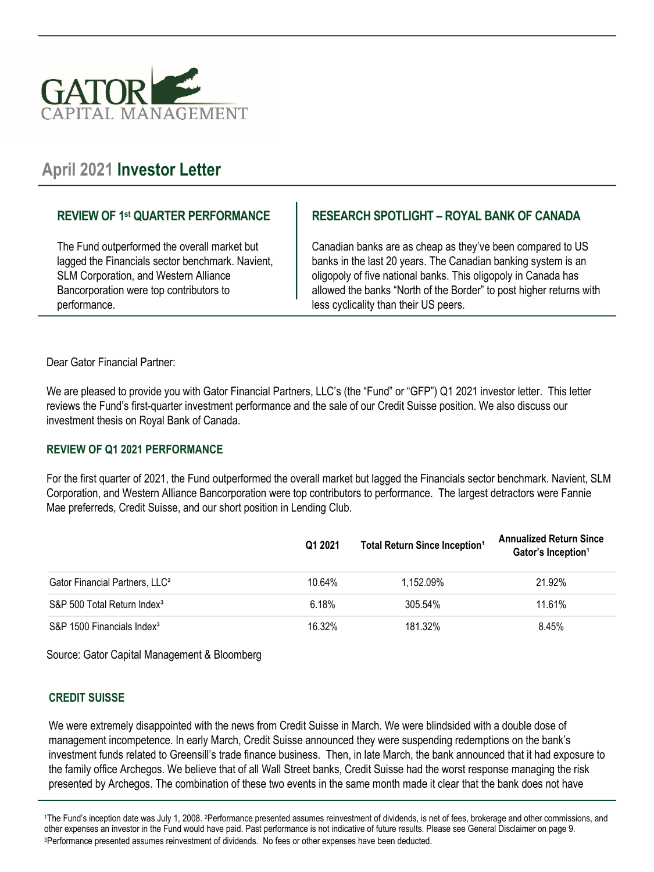

# **April 2021 Investor Letter**

### **REVIEW OF 1st QUARTER PERFORMANCE**

The Fund outperformed the overall market but lagged the Financials sector benchmark. Navient, SLM Corporation, and Western Alliance Bancorporation were top contributors to performance.

# **RESEARCH SPOTLIGHT – ROYAL BANK OF CANADA**

Canadian banks are as cheap as they've been compared to US banks in the last 20 years. The Canadian banking system is an oligopoly of five national banks. This oligopoly in Canada has allowed the banks "North of the Border" to post higher returns with less cyclicality than their US peers.

Dear Gator Financial Partner:

We are pleased to provide you with Gator Financial Partners, LLC's (the "Fund" or "GFP") Q1 2021 investor letter. This letter reviews the Fund's first-quarter investment performance and the sale of our Credit Suisse position. We also discuss our investment thesis on Royal Bank of Canada.

#### **REVIEW OF Q1 2021 PERFORMANCE**

For the first quarter of 2021, the Fund outperformed the overall market but lagged the Financials sector benchmark. Navient, SLM Corporation, and Western Alliance Bancorporation were top contributors to performance. The largest detractors were Fannie Mae preferreds, Credit Suisse, and our short position in Lending Club.

|                                            | Q1 2021 | Total Return Since Inception <sup>1</sup> | <b>Annualized Return Since</b><br>Gator's Inception <sup>1</sup> |
|--------------------------------------------|---------|-------------------------------------------|------------------------------------------------------------------|
| Gator Financial Partners, LLC <sup>2</sup> | 10.64%  | 1.152.09%                                 | 21.92%                                                           |
| S&P 500 Total Return Index <sup>3</sup>    | 6.18%   | 305.54%                                   | 11.61%                                                           |
| S&P 1500 Financials Index <sup>3</sup>     | 16.32%  | 181.32%                                   | 8.45%                                                            |

Source: Gator Capital Management & Bloomberg

#### **CREDIT SUISSE**

We were extremely disappointed with the news from Credit Suisse in March. We were blindsided with a double dose of management incompetence. In early March, Credit Suisse announced they were suspending redemptions on the bank's investment funds related to Greensill's trade finance business. Then, in late March, the bank announced that it had exposure to the family office Archegos. We believe that of all Wall Street banks, Credit Suisse had the worst response managing the risk presented by Archegos. The combination of these two events in the same month made it clear that the bank does not have

1The Fund's inception date was July 1, 2008. 2Performance presented assumes reinvestment of dividends, is net of fees, brokerage and other commissions, and other expenses an investor in the Fund would have paid. Past performance is not indicative of future results. Please see General Disclaimer on page 9. 3Performance presented assumes reinvestment of dividends. No fees or other expenses have been deducted.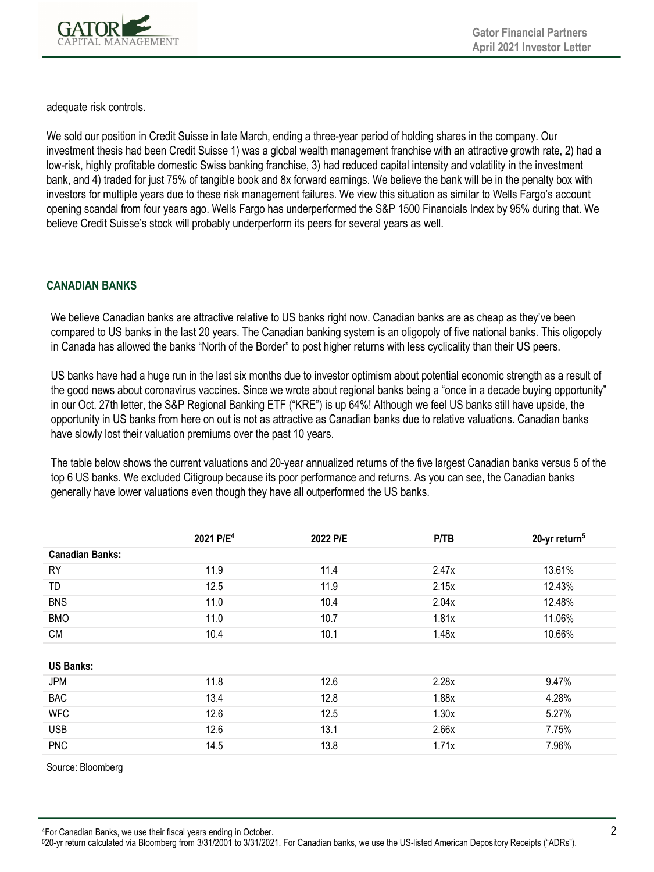

adequate risk controls.

We sold our position in Credit Suisse in late March, ending a three-year period of holding shares in the company. Our investment thesis had been Credit Suisse 1) was a global wealth management franchise with an attractive growth rate, 2) had a low-risk, highly profitable domestic Swiss banking franchise, 3) had reduced capital intensity and volatility in the investment bank, and 4) traded for just 75% of tangible book and 8x forward earnings. We believe the bank will be in the penalty box with investors for multiple years due to these risk management failures. We view this situation as similar to Wells Fargo's account opening scandal from four years ago. Wells Fargo has underperformed the S&P 1500 Financials Index by 95% during that. We believe Credit Suisse's stock will probably underperform its peers for several years as well.

### **CANADIAN BANKS**

We believe Canadian banks are attractive relative to US banks right now. Canadian banks are as cheap as they've been compared to US banks in the last 20 years. The Canadian banking system is an oligopoly of five national banks. This oligopoly in Canada has allowed the banks "North of the Border" to post higher returns with less cyclicality than their US peers.

US banks have had a huge run in the last six months due to investor optimism about potential economic strength as a result of the good news about coronavirus vaccines. Since we wrote about regional banks being a "once in a decade buying opportunity" in our Oct. 27th letter, the S&P Regional Banking ETF ("KRE") is up 64%! Although we feel US banks still have upside, the opportunity in US banks from here on out is not as attractive as Canadian banks due to relative valuations. Canadian banks have slowly lost their valuation premiums over the past 10 years.

The table below shows the current valuations and 20-year annualized returns of the five largest Canadian banks versus 5 of the top 6 US banks. We excluded Citigroup because its poor performance and returns. As you can see, the Canadian banks generally have lower valuations even though they have all outperformed the US banks.

|                        | 2021 P/E <sup>4</sup> | 2022 P/E | P/TB  | 20-yr return <sup>5</sup> |
|------------------------|-----------------------|----------|-------|---------------------------|
| <b>Canadian Banks:</b> |                       |          |       |                           |
| <b>RY</b>              | 11.9                  | 11.4     | 2.47x | 13.61%                    |
| TD.                    | 12.5                  | 11.9     | 2.15x | 12.43%                    |
| <b>BNS</b>             | 11.0                  | 10.4     | 2.04x | 12.48%                    |
| <b>BMO</b>             | 11.0                  | 10.7     | 1.81x | 11.06%                    |
| <b>CM</b>              | 10.4                  | 10.1     | 1.48x | 10.66%                    |
|                        |                       |          |       |                           |
| <b>US Banks:</b>       |                       |          |       |                           |
| JPM                    | 11.8                  | 12.6     | 2.28x | 9.47%                     |
| <b>BAC</b>             | 13.4                  | 12.8     | 1.88x | 4.28%                     |
| <b>WFC</b>             | 12.6                  | 12.5     | 1.30x | 5.27%                     |
| <b>USB</b>             | 12.6                  | 13.1     | 2.66x | 7.75%                     |
| <b>PNC</b>             | 14.5                  | 13.8     | 1.71x | 7.96%                     |

Source: Bloomberg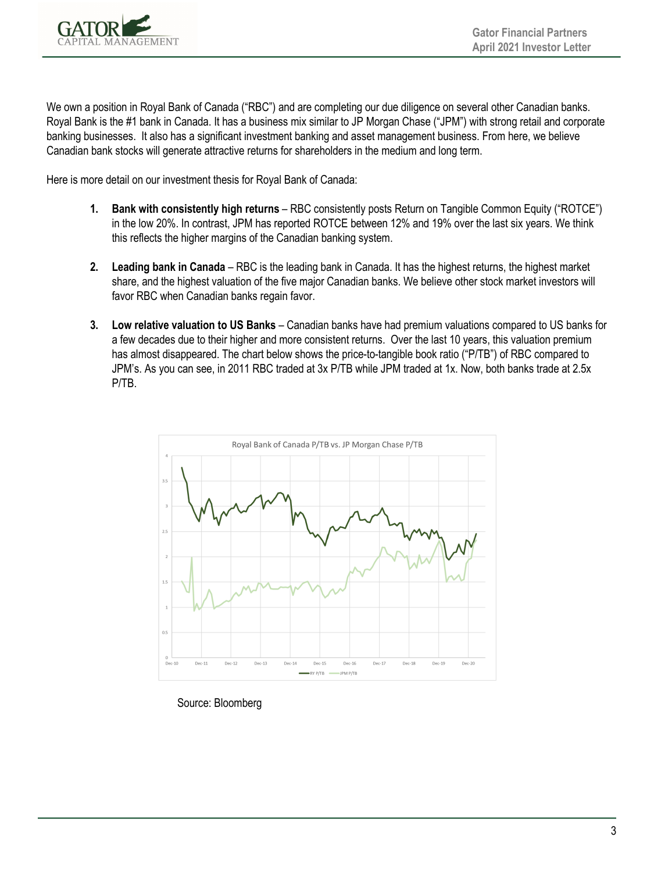

We own a position in Royal Bank of Canada ("RBC") and are completing our due diligence on several other Canadian banks. Royal Bank is the #1 bank in Canada. It has a business mix similar to JP Morgan Chase ("JPM") with strong retail and corporate banking businesses. It also has a significant investment banking and asset management business. From here, we believe Canadian bank stocks will generate attractive returns for shareholders in the medium and long term.

Here is more detail on our investment thesis for Royal Bank of Canada:

- **1. Bank with consistently high returns**  RBC consistently posts Return on Tangible Common Equity ("ROTCE") in the low 20%. In contrast, JPM has reported ROTCE between 12% and 19% over the last six years. We think this reflects the higher margins of the Canadian banking system.
- **2. Leading bank in Canada**  RBC is the leading bank in Canada. It has the highest returns, the highest market share, and the highest valuation of the five major Canadian banks. We believe other stock market investors will favor RBC when Canadian banks regain favor.
- **3. Low relative valuation to US Banks**  Canadian banks have had premium valuations compared to US banks for a few decades due to their higher and more consistent returns. Over the last 10 years, this valuation premium has almost disappeared. The chart below shows the price-to-tangible book ratio ("P/TB") of RBC compared to JPM's. As you can see, in 2011 RBC traded at 3x P/TB while JPM traded at 1x. Now, both banks trade at 2.5x P/TB.



Source: Bloomberg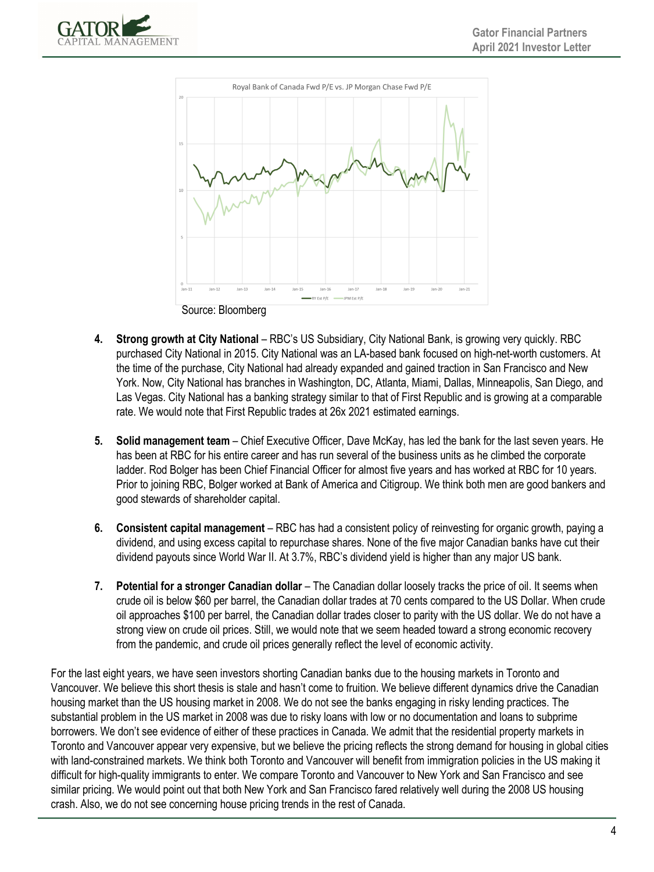



- **4. Strong growth at City National** RBC's US Subsidiary, City National Bank, is growing very quickly. RBC purchased City National in 2015. City National was an LA-based bank focused on high-net-worth customers. At the time of the purchase, City National had already expanded and gained traction in San Francisco and New York. Now, City National has branches in Washington, DC, Atlanta, Miami, Dallas, Minneapolis, San Diego, and Las Vegas. City National has a banking strategy similar to that of First Republic and is growing at a comparable rate. We would note that First Republic trades at 26x 2021 estimated earnings.
	- **5. Solid management team**  Chief Executive Officer, Dave McKay, has led the bank for the last seven years. He has been at RBC for his entire career and has run several of the business units as he climbed the corporate ladder. Rod Bolger has been Chief Financial Officer for almost five years and has worked at RBC for 10 years. Prior to joining RBC, Bolger worked at Bank of America and Citigroup. We think both men are good bankers and good stewards of shareholder capital.
	- **6. Consistent capital management**  RBC has had a consistent policy of reinvesting for organic growth, paying a dividend, and using excess capital to repurchase shares. None of the five major Canadian banks have cut their dividend payouts since World War II. At 3.7%, RBC's dividend yield is higher than any major US bank.
	- **7.** Potential for a stronger Canadian dollar The Canadian dollar loosely tracks the price of oil. It seems when crude oil is below \$60 per barrel, the Canadian dollar trades at 70 cents compared to the US Dollar. When crude oil approaches \$100 per barrel, the Canadian dollar trades closer to parity with the US dollar. We do not have a strong view on crude oil prices. Still, we would note that we seem headed toward a strong economic recovery from the pandemic, and crude oil prices generally reflect the level of economic activity.

For the last eight years, we have seen investors shorting Canadian banks due to the housing markets in Toronto and Vancouver. We believe this short thesis is stale and hasn't come to fruition. We believe different dynamics drive the Canadian housing market than the US housing market in 2008. We do not see the banks engaging in risky lending practices. The substantial problem in the US market in 2008 was due to risky loans with low or no documentation and loans to subprime borrowers. We don't see evidence of either of these practices in Canada. We admit that the residential property markets in Toronto and Vancouver appear very expensive, but we believe the pricing reflects the strong demand for housing in global cities with land-constrained markets. We think both Toronto and Vancouver will benefit from immigration policies in the US making it difficult for high-quality immigrants to enter. We compare Toronto and Vancouver to New York and San Francisco and see similar pricing. We would point out that both New York and San Francisco fared relatively well during the 2008 US housing crash. Also, we do not see concerning house pricing trends in the rest of Canada.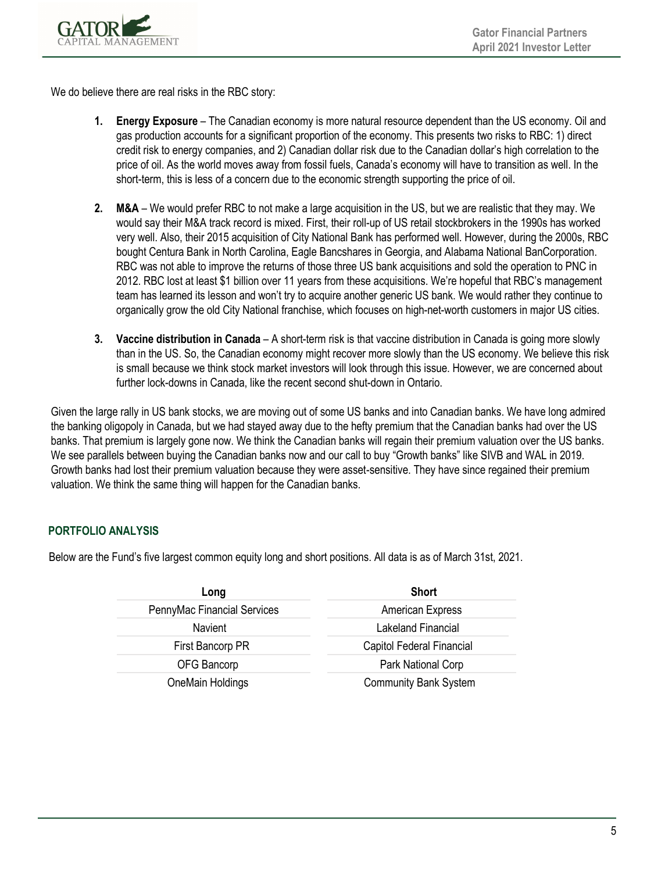

We do believe there are real risks in the RBC story:

- **1. Energy Exposure**  The Canadian economy is more natural resource dependent than the US economy. Oil and gas production accounts for a significant proportion of the economy. This presents two risks to RBC: 1) direct credit risk to energy companies, and 2) Canadian dollar risk due to the Canadian dollar's high correlation to the price of oil. As the world moves away from fossil fuels, Canada's economy will have to transition as well. In the short-term, this is less of a concern due to the economic strength supporting the price of oil.
- **2. M&A**  We would prefer RBC to not make a large acquisition in the US, but we are realistic that they may. We would say their M&A track record is mixed. First, their roll-up of US retail stockbrokers in the 1990s has worked very well. Also, their 2015 acquisition of City National Bank has performed well. However, during the 2000s, RBC bought Centura Bank in North Carolina, Eagle Bancshares in Georgia, and Alabama National BanCorporation. RBC was not able to improve the returns of those three US bank acquisitions and sold the operation to PNC in 2012. RBC lost at least \$1 billion over 11 years from these acquisitions. We're hopeful that RBC's management team has learned its lesson and won't try to acquire another generic US bank. We would rather they continue to organically grow the old City National franchise, which focuses on high-net-worth customers in major US cities.
- **3. Vaccine distribution in Canada**  A short-term risk is that vaccine distribution in Canada is going more slowly than in the US. So, the Canadian economy might recover more slowly than the US economy. We believe this risk is small because we think stock market investors will look through this issue. However, we are concerned about further lock-downs in Canada, like the recent second shut-down in Ontario.

Given the large rally in US bank stocks, we are moving out of some US banks and into Canadian banks. We have long admired the banking oligopoly in Canada, but we had stayed away due to the hefty premium that the Canadian banks had over the US banks. That premium is largely gone now. We think the Canadian banks will regain their premium valuation over the US banks. We see parallels between buying the Canadian banks now and our call to buy "Growth banks" like SIVB and WAL in 2019. Growth banks had lost their premium valuation because they were asset-sensitive. They have since regained their premium valuation. We think the same thing will happen for the Canadian banks.

# **PORTFOLIO ANALYSIS**

Below are the Fund's five largest common equity long and short positions. All data is as of March 31st, 2021.

| Long                        | <b>Short</b>                 |  |  |
|-----------------------------|------------------------------|--|--|
| PennyMac Financial Services | American Express             |  |  |
| <b>Navient</b>              | Lakeland Financial           |  |  |
| First Bancorp PR            | Capitol Federal Financial    |  |  |
| OFG Bancorp                 | Park National Corp           |  |  |
| OneMain Holdings            | <b>Community Bank System</b> |  |  |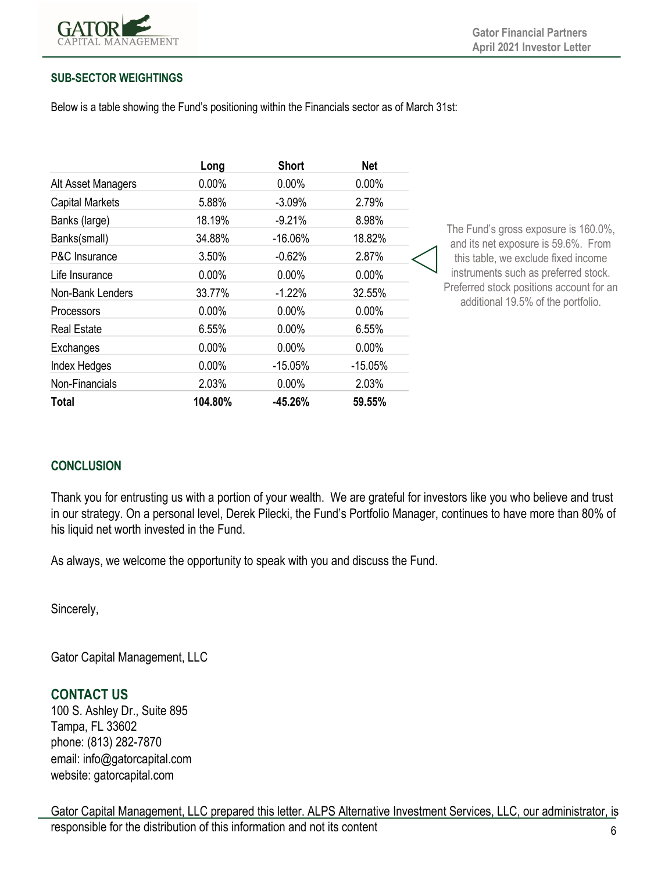

#### **SUB-SECTOR WEIGHTINGS**

Below is a table showing the Fund's positioning within the Financials sector as of March 31st:

|                        | Long     | <b>Short</b> | <b>Net</b> |  |
|------------------------|----------|--------------|------------|--|
| Alt Asset Managers     | $0.00\%$ | $0.00\%$     | $0.00\%$   |  |
| <b>Capital Markets</b> | 5.88%    | $-3.09%$     | 2.79%      |  |
| Banks (large)          | 18.19%   | $-9.21%$     | 8.98%      |  |
| Banks(small)           | 34.88%   | $-16.06%$    | 18.82%     |  |
| P&C Insurance          | 3.50%    | $-0.62%$     | 2.87%      |  |
| Life Insurance         | $0.00\%$ | $0.00\%$     | $0.00\%$   |  |
| Non-Bank Lenders       | 33.77%   | $-1.22%$     | 32.55%     |  |
| Processors             | $0.00\%$ | $0.00\%$     | $0.00\%$   |  |
| <b>Real Estate</b>     | 6.55%    | $0.00\%$     | 6.55%      |  |
| Exchanges              | $0.00\%$ | $0.00\%$     | $0.00\%$   |  |
| Index Hedges           | $0.00\%$ | $-15.05%$    | $-15.05%$  |  |
| Non-Financials         | 2.03%    | $0.00\%$     | 2.03%      |  |
| Total                  | 104.80%  | $-45.26%$    | 59.55%     |  |

The Fund's gross exposure is 160.0%, and its net exposure is  $59.6\%$ . From this table, we exclude fixed income instruments such as preferred stock. Preferred stock positions account for an additional 19.5% of the portfolio.

# **CONCLUSION**

Thank you for entrusting us with a portion of your wealth. We are grateful for investors like you who believe and trust in our strategy. On a personal level, Derek Pilecki, the Fund's Portfolio Manager, continues to have more than 80% of his liquid net worth invested in the Fund.

As always, we welcome the opportunity to speak with you and discuss the Fund.

Sincerely,

Gator Capital Management, LLC

# **CONTACT US**

100 S. Ashley Dr., Suite 895 Tampa, FL 33602 phone: (813) 282-7870 email: info@gatorcapital.com website: gatorcapital.com

6 Gator Capital Management, LLC prepared this letter. ALPS Alternative Investment Services, LLC, our administrator, is responsible for the distribution of this information and not its content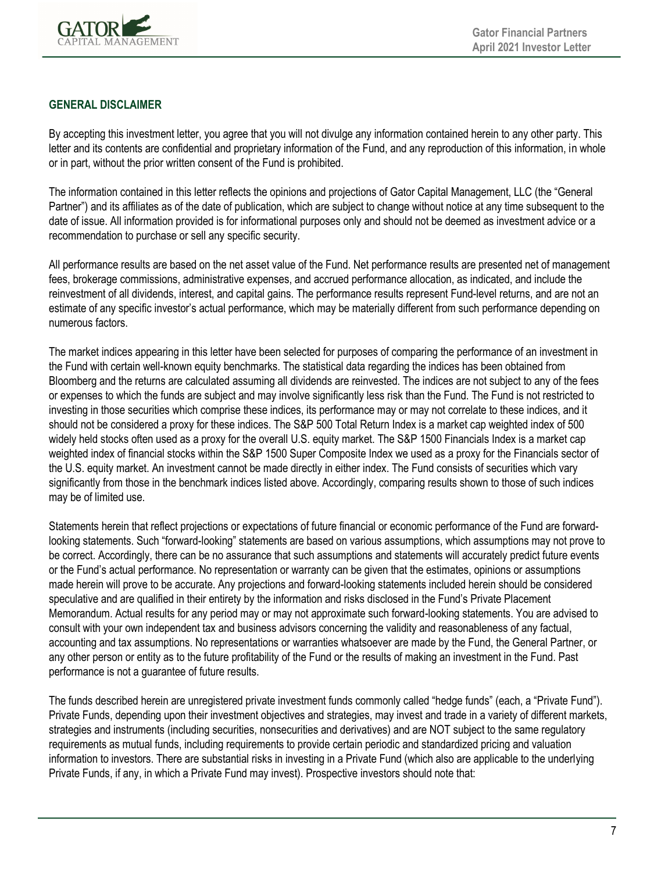

#### **GENERAL DISCLAIMER**

By accepting this investment letter, you agree that you will not divulge any information contained herein to any other party. This letter and its contents are confidential and proprietary information of the Fund, and any reproduction of this information, in whole or in part, without the prior written consent of the Fund is prohibited.

The information contained in this letter reflects the opinions and projections of Gator Capital Management, LLC (the "General Partner") and its affiliates as of the date of publication, which are subject to change without notice at any time subsequent to the date of issue. All information provided is for informational purposes only and should not be deemed as investment advice or a recommendation to purchase or sell any specific security.

All performance results are based on the net asset value of the Fund. Net performance results are presented net of management fees, brokerage commissions, administrative expenses, and accrued performance allocation, as indicated, and include the reinvestment of all dividends, interest, and capital gains. The performance results represent Fund-level returns, and are not an estimate of any specific investor's actual performance, which may be materially different from such performance depending on numerous factors.

The market indices appearing in this letter have been selected for purposes of comparing the performance of an investment in the Fund with certain well-known equity benchmarks. The statistical data regarding the indices has been obtained from Bloomberg and the returns are calculated assuming all dividends are reinvested. The indices are not subject to any of the fees or expenses to which the funds are subject and may involve significantly less risk than the Fund. The Fund is not restricted to investing in those securities which comprise these indices, its performance may or may not correlate to these indices, and it should not be considered a proxy for these indices. The S&P 500 Total Return Index is a market cap weighted index of 500 widely held stocks often used as a proxy for the overall U.S. equity market. The S&P 1500 Financials Index is a market cap weighted index of financial stocks within the S&P 1500 Super Composite Index we used as a proxy for the Financials sector of the U.S. equity market. An investment cannot be made directly in either index. The Fund consists of securities which vary significantly from those in the benchmark indices listed above. Accordingly, comparing results shown to those of such indices may be of limited use.

Statements herein that reflect projections or expectations of future financial or economic performance of the Fund are forwardlooking statements. Such "forward-looking" statements are based on various assumptions, which assumptions may not prove to be correct. Accordingly, there can be no assurance that such assumptions and statements will accurately predict future events or the Fund's actual performance. No representation or warranty can be given that the estimates, opinions or assumptions made herein will prove to be accurate. Any projections and forward-looking statements included herein should be considered speculative and are qualified in their entirety by the information and risks disclosed in the Fund's Private Placement Memorandum. Actual results for any period may or may not approximate such forward-looking statements. You are advised to consult with your own independent tax and business advisors concerning the validity and reasonableness of any factual, accounting and tax assumptions. No representations or warranties whatsoever are made by the Fund, the General Partner, or any other person or entity as to the future profitability of the Fund or the results of making an investment in the Fund. Past performance is not a guarantee of future results.

The funds described herein are unregistered private investment funds commonly called "hedge funds" (each, a "Private Fund"). Private Funds, depending upon their investment objectives and strategies, may invest and trade in a variety of different markets, strategies and instruments (including securities, nonsecurities and derivatives) and are NOT subject to the same regulatory requirements as mutual funds, including requirements to provide certain periodic and standardized pricing and valuation information to investors. There are substantial risks in investing in a Private Fund (which also are applicable to the underlying Private Funds, if any, in which a Private Fund may invest). Prospective investors should note that: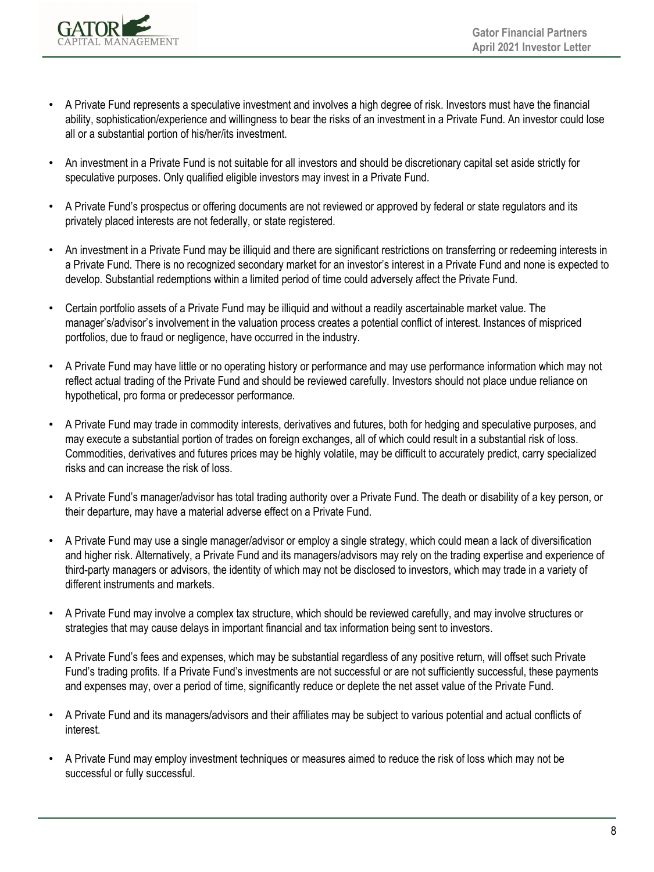

- A Private Fund represents a speculative investment and involves a high degree of risk. Investors must have the financial ability, sophistication/experience and willingness to bear the risks of an investment in a Private Fund. An investor could lose all or a substantial portion of his/her/its investment.
- An investment in a Private Fund is not suitable for all investors and should be discretionary capital set aside strictly for speculative purposes. Only qualified eligible investors may invest in a Private Fund.
- A Private Fund's prospectus or offering documents are not reviewed or approved by federal or state regulators and its privately placed interests are not federally, or state registered.
- An investment in a Private Fund may be illiquid and there are significant restrictions on transferring or redeeming interests in a Private Fund. There is no recognized secondary market for an investor's interest in a Private Fund and none is expected to develop. Substantial redemptions within a limited period of time could adversely affect the Private Fund.
- Certain portfolio assets of a Private Fund may be illiquid and without a readily ascertainable market value. The manager's/advisor's involvement in the valuation process creates a potential conflict of interest. Instances of mispriced portfolios, due to fraud or negligence, have occurred in the industry.
- A Private Fund may have little or no operating history or performance and may use performance information which may not reflect actual trading of the Private Fund and should be reviewed carefully. Investors should not place undue reliance on hypothetical, pro forma or predecessor performance.
- A Private Fund may trade in commodity interests, derivatives and futures, both for hedging and speculative purposes, and may execute a substantial portion of trades on foreign exchanges, all of which could result in a substantial risk of loss. Commodities, derivatives and futures prices may be highly volatile, may be difficult to accurately predict, carry specialized risks and can increase the risk of loss.
- A Private Fund's manager/advisor has total trading authority over a Private Fund. The death or disability of a key person, or their departure, may have a material adverse effect on a Private Fund.
- A Private Fund may use a single manager/advisor or employ a single strategy, which could mean a lack of diversification and higher risk. Alternatively, a Private Fund and its managers/advisors may rely on the trading expertise and experience of third-party managers or advisors, the identity of which may not be disclosed to investors, which may trade in a variety of different instruments and markets.
- A Private Fund may involve a complex tax structure, which should be reviewed carefully, and may involve structures or strategies that may cause delays in important financial and tax information being sent to investors.
- A Private Fund's fees and expenses, which may be substantial regardless of any positive return, will offset such Private Fund's trading profits. If a Private Fund's investments are not successful or are not sufficiently successful, these payments and expenses may, over a period of time, significantly reduce or deplete the net asset value of the Private Fund.
- A Private Fund and its managers/advisors and their affiliates may be subject to various potential and actual conflicts of interest.
- A Private Fund may employ investment techniques or measures aimed to reduce the risk of loss which may not be successful or fully successful.